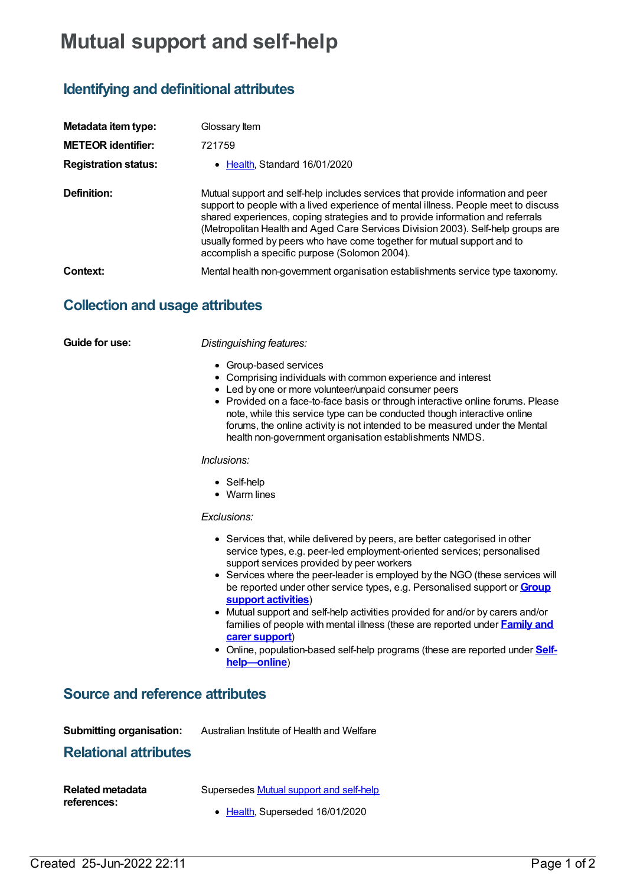# **Mutual support and self-help**

# **Identifying and definitional attributes**

| Metadata item type:<br><b>METEOR identifier:</b> | Glossary Item<br>721759                                                                                                                                                                                                                                                                                                                                                                                                                                                    |
|--------------------------------------------------|----------------------------------------------------------------------------------------------------------------------------------------------------------------------------------------------------------------------------------------------------------------------------------------------------------------------------------------------------------------------------------------------------------------------------------------------------------------------------|
| <b>Registration status:</b>                      | • Health. Standard 16/01/2020                                                                                                                                                                                                                                                                                                                                                                                                                                              |
|                                                  |                                                                                                                                                                                                                                                                                                                                                                                                                                                                            |
| Definition:                                      | Mutual support and self-help includes services that provide information and peer<br>support to people with a lived experience of mental illness. People meet to discuss<br>shared experiences, coping strategies and to provide information and referrals<br>(Metropolitan Health and Aged Care Services Division 2003). Self-help groups are<br>usually formed by peers who have come together for mutual support and to<br>accomplish a specific purpose (Solomon 2004). |
| Context:                                         | Mental health non-government organisation establishments service type taxonomy.                                                                                                                                                                                                                                                                                                                                                                                            |

## **Collection and usage attributes**

**Guide for use:** *Distinguishing features:*

- Group-based services
- Comprising individuals with common experience and interest
- Led by one or more volunteer/unpaid consumer peers
- Provided on a face-to-face basis or through interactive online forums. Please note, while this service type can be conducted though interactive online forums, the online activity is not intended to be measured under the Mental health non-government organisation establishments NMDS.

*Inclusions:*

- Self-help
- Warm lines

#### *Exclusions:*

- Services that, while delivered by peers, are better categorised in other service types, e.g. peer-led employment-oriented services; personalised support services provided by peer workers
- Services where the peer-leader is employed by the NGO (these services will be reported under other service types, e.g. [Personalised](https://meteor.aihw.gov.au/content/721757) support or **Group support activities**)
- Mutual support and self-help activities provided for and/or by carers and/or families of people with mental illness (these are [reported](https://meteor.aihw.gov.au/content/721767) under **Family and carer support**)
- Online, [population-based](https://meteor.aihw.gov.au/content/721755) self-help programs (these are reported under **Selfhelp—online**)

### **Source and reference attributes**

**Submitting organisation:** Australian Institute of Health and Welfare

### **Relational attributes**

| <b>Related metadata</b> | Supersedes Mutual support and self-help |
|-------------------------|-----------------------------------------|
| references:             | • Health, Superseded 16/01/2020         |